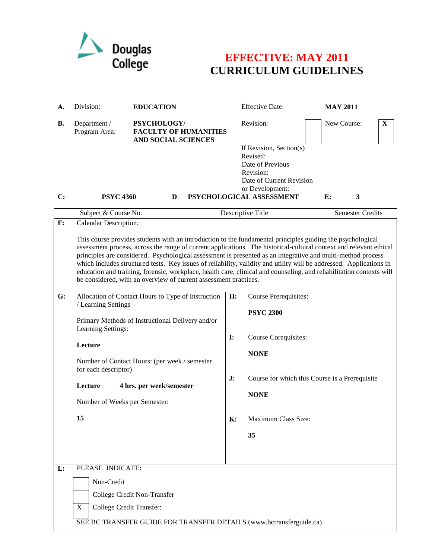

## **EFFECTIVE: MAY 2011 CURRICULUM GUIDELINES**

| А.        | Division:                                                                                                                                                                                                                                                                                                                                                                                                                                                                                                                                                                                                                                                         | <b>EDUCATION</b>                                                          |                | <b>Effective Date:</b>                                  | <b>MAY 2011</b>                                |  |  |
|-----------|-------------------------------------------------------------------------------------------------------------------------------------------------------------------------------------------------------------------------------------------------------------------------------------------------------------------------------------------------------------------------------------------------------------------------------------------------------------------------------------------------------------------------------------------------------------------------------------------------------------------------------------------------------------------|---------------------------------------------------------------------------|----------------|---------------------------------------------------------|------------------------------------------------|--|--|
| <b>B.</b> | Department /<br>Program Area:                                                                                                                                                                                                                                                                                                                                                                                                                                                                                                                                                                                                                                     | PSYCHOLOGY/<br><b>FACULTY OF HUMANITIES</b><br><b>AND SOCIAL SCIENCES</b> |                | Revision:                                               | New Course:<br>$\mathbf{X}$                    |  |  |
|           |                                                                                                                                                                                                                                                                                                                                                                                                                                                                                                                                                                                                                                                                   |                                                                           |                | If Revision, Section(s)<br>Revised:<br>Date of Previous |                                                |  |  |
|           |                                                                                                                                                                                                                                                                                                                                                                                                                                                                                                                                                                                                                                                                   |                                                                           |                | Revision:<br>Date of Current Revision                   |                                                |  |  |
| C:        | or Development:<br>PSYCHOLOGICAL ASSESSMENT<br><b>PSYC 4360</b><br>$\mathbf{D}$ :<br>E:<br>$\mathbf{3}$                                                                                                                                                                                                                                                                                                                                                                                                                                                                                                                                                           |                                                                           |                |                                                         |                                                |  |  |
|           | Subject & Course No.                                                                                                                                                                                                                                                                                                                                                                                                                                                                                                                                                                                                                                              |                                                                           |                | Descriptive Title                                       | Semester Credits                               |  |  |
| F:        | Calendar Description:                                                                                                                                                                                                                                                                                                                                                                                                                                                                                                                                                                                                                                             |                                                                           |                |                                                         |                                                |  |  |
|           | This course provides students with an introduction to the fundamental principles guiding the psychological<br>assessment process, across the range of current applications. The historical-cultural context and relevant ethical<br>principles are considered. Psychological assessment is presented as an integrative and multi-method process<br>which includes structured tests. Key issues of reliability, validity and utility will be addressed. Applications in<br>education and training, forensic, workplace, health care, clinical and counseling, and rehabilitation contexts will<br>be considered, with an overview of current assessment practices. |                                                                           |                |                                                         |                                                |  |  |
| G:        | Allocation of Contact Hours to Type of Instruction<br>/ Learning Settings<br>Primary Methods of Instructional Delivery and/or<br>Learning Settings:<br>Lecture<br>Number of Contact Hours: (per week / semester<br>for each descriptor)                                                                                                                                                                                                                                                                                                                                                                                                                           |                                                                           | H:             | Course Prerequisites:                                   |                                                |  |  |
|           |                                                                                                                                                                                                                                                                                                                                                                                                                                                                                                                                                                                                                                                                   |                                                                           |                | <b>PSYC 2300</b>                                        |                                                |  |  |
|           |                                                                                                                                                                                                                                                                                                                                                                                                                                                                                                                                                                                                                                                                   |                                                                           | $\mathbf{I}$ : | Course Corequisites:<br><b>NONE</b>                     |                                                |  |  |
|           |                                                                                                                                                                                                                                                                                                                                                                                                                                                                                                                                                                                                                                                                   |                                                                           | J:             |                                                         |                                                |  |  |
|           | Lecture                                                                                                                                                                                                                                                                                                                                                                                                                                                                                                                                                                                                                                                           | 4 hrs. per week/semester                                                  |                |                                                         | Course for which this Course is a Prerequisite |  |  |
|           | Number of Weeks per Semester:                                                                                                                                                                                                                                                                                                                                                                                                                                                                                                                                                                                                                                     |                                                                           |                | <b>NONE</b>                                             |                                                |  |  |
|           | 15                                                                                                                                                                                                                                                                                                                                                                                                                                                                                                                                                                                                                                                                |                                                                           | <b>K:</b>      | Maximum Class Size:                                     |                                                |  |  |
|           |                                                                                                                                                                                                                                                                                                                                                                                                                                                                                                                                                                                                                                                                   |                                                                           |                | 35                                                      |                                                |  |  |
|           |                                                                                                                                                                                                                                                                                                                                                                                                                                                                                                                                                                                                                                                                   |                                                                           |                |                                                         |                                                |  |  |
| L:        | PLEASE INDICATE:                                                                                                                                                                                                                                                                                                                                                                                                                                                                                                                                                                                                                                                  |                                                                           |                |                                                         |                                                |  |  |
|           | Non-Credit                                                                                                                                                                                                                                                                                                                                                                                                                                                                                                                                                                                                                                                        |                                                                           |                |                                                         |                                                |  |  |
|           | College Credit Non-Transfer                                                                                                                                                                                                                                                                                                                                                                                                                                                                                                                                                                                                                                       |                                                                           |                |                                                         |                                                |  |  |
|           | X<br>College Credit Transfer:                                                                                                                                                                                                                                                                                                                                                                                                                                                                                                                                                                                                                                     |                                                                           |                |                                                         |                                                |  |  |
|           | SEE BC TRANSFER GUIDE FOR TRANSFER DETAILS (www.bctransferguide.ca)                                                                                                                                                                                                                                                                                                                                                                                                                                                                                                                                                                                               |                                                                           |                |                                                         |                                                |  |  |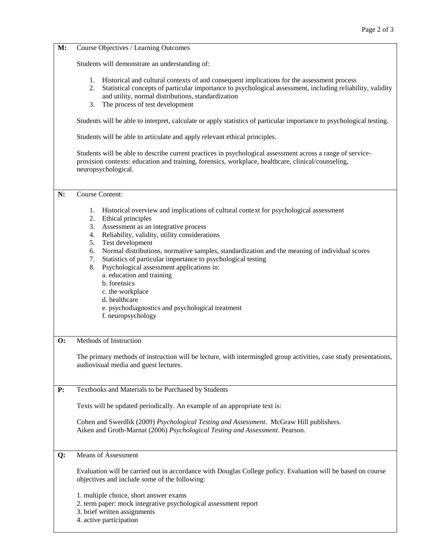| M:        | Course Objectives / Learning Outcomes                                                                                                                                                                                                                                                                                                                                                                                                                                                                                                                                                                                                                                                                                                                                                             |  |  |  |  |
|-----------|---------------------------------------------------------------------------------------------------------------------------------------------------------------------------------------------------------------------------------------------------------------------------------------------------------------------------------------------------------------------------------------------------------------------------------------------------------------------------------------------------------------------------------------------------------------------------------------------------------------------------------------------------------------------------------------------------------------------------------------------------------------------------------------------------|--|--|--|--|
|           | Students will demonstrate an understanding of:                                                                                                                                                                                                                                                                                                                                                                                                                                                                                                                                                                                                                                                                                                                                                    |  |  |  |  |
|           | 1. Historical and cultural contexts of and consequent implications for the assessment process<br>Statistical concepts of particular importance to psychological assessment, including reliability, validity<br>2.<br>and utility, normal distributions, standardization<br>The process of test development<br>3.                                                                                                                                                                                                                                                                                                                                                                                                                                                                                  |  |  |  |  |
|           | Students will be able to interpret, calculate or apply statistics of particular importance to psychological testing.                                                                                                                                                                                                                                                                                                                                                                                                                                                                                                                                                                                                                                                                              |  |  |  |  |
|           | Students will be able to articulate and apply relevant ethical principles.                                                                                                                                                                                                                                                                                                                                                                                                                                                                                                                                                                                                                                                                                                                        |  |  |  |  |
|           | Students will be able to describe current practices in psychological assessment across a range of service-<br>provision contexts: education and training, forensics, workplace, healthcare, clinical/counseling,<br>neuropsychological.                                                                                                                                                                                                                                                                                                                                                                                                                                                                                                                                                           |  |  |  |  |
| N:        | <b>Course Content:</b>                                                                                                                                                                                                                                                                                                                                                                                                                                                                                                                                                                                                                                                                                                                                                                            |  |  |  |  |
| <b>O:</b> | Historical overview and implications of cultural context for psychological assessment<br>1.<br>2.<br>Ethical principles<br>Assessment as an integrative process<br>3.<br>Reliability, validity, utility considerations<br>4.<br>Test development<br>5.<br>Normal distributions, normative samples, standardization and the meaning of individual scores<br>6.<br>Statistics of particular importance to psychological testing<br>7.<br>Psychological assessment applications in:<br>8.<br>a. education and training<br>b. forensics<br>c. the workplace<br>d. healthcare<br>e. psychodiagnostics and psychological treatment<br>f. neuropsychology<br>Methods of Instruction<br>The primary methods of instruction will be lecture, with intermingled group activities, case study presentations, |  |  |  |  |
|           | audiovisual media and guest lectures.                                                                                                                                                                                                                                                                                                                                                                                                                                                                                                                                                                                                                                                                                                                                                             |  |  |  |  |
| P:        | Textbooks and Materials to be Purchased by Students                                                                                                                                                                                                                                                                                                                                                                                                                                                                                                                                                                                                                                                                                                                                               |  |  |  |  |
|           | Texts will be updated periodically. An example of an appropriate text is:                                                                                                                                                                                                                                                                                                                                                                                                                                                                                                                                                                                                                                                                                                                         |  |  |  |  |
|           | Cohen and Swerdlik (2009) Psychological Testing and Assessment. McGraw Hill publishers.<br>Aiken and Groth-Marnat (2006) Psychological Testing and Assessment. Pearson.                                                                                                                                                                                                                                                                                                                                                                                                                                                                                                                                                                                                                           |  |  |  |  |
| Q:        | <b>Means of Assessment</b>                                                                                                                                                                                                                                                                                                                                                                                                                                                                                                                                                                                                                                                                                                                                                                        |  |  |  |  |
|           | Evaluation will be carried out in accordance with Douglas College policy. Evaluation will be based on course<br>objectives and include some of the following:                                                                                                                                                                                                                                                                                                                                                                                                                                                                                                                                                                                                                                     |  |  |  |  |
|           | 1. multiple choice, short answer exams<br>2. term paper: mock integrative psychological assessment report<br>3. brief written assignments<br>4. active participation                                                                                                                                                                                                                                                                                                                                                                                                                                                                                                                                                                                                                              |  |  |  |  |